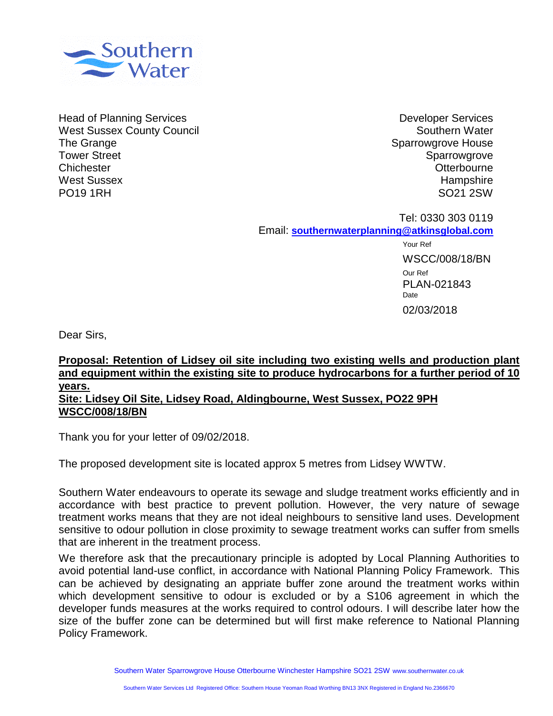

Head of Planning Services **Developer Services** Developer Services West Sussex County Council The Grange Tower Street **Chichester** West Sussex PO19 1RH

Southern Water Sparrowgrove House Sparrowgrove **Otterbourne Hampshire** SO21 2SW

Your Ref WSCC/008/18/BN Tel: 0330 303 0119 Email: **southernwaterplanning@atkinsglobal.com**

Our Ref PLAN-021843 Date 02/03/2018

Dear Sirs,

**Proposal: Retention of Lidsey oil site including two existing wells and production plant and equipment within the existing site to produce hydrocarbons for a further period of 10 years. Site: Lidsey Oil Site, Lidsey Road, Aldingbourne, West Sussex, PO22 9PH WSCC/008/18/BN**

Thank you for your letter of 09/02/2018.

The proposed development site is located approx 5 metres from Lidsey WWTW.

Southern Water endeavours to operate its sewage and sludge treatment works efficiently and in accordance with best practice to prevent pollution. However, the very nature of sewage treatment works means that they are not ideal neighbours to sensitive land uses. Development sensitive to odour pollution in close proximity to sewage treatment works can suffer from smells that are inherent in the treatment process.

We therefore ask that the precautionary principle is adopted by Local Planning Authorities to avoid potential land-use conflict, in accordance with National Planning Policy Framework. This can be achieved by designating an appriate buffer zone around the treatment works within which development sensitive to odour is excluded or by a S106 agreement in which the developer funds measures at the works required to control odours. I will describe later how the size of the buffer zone can be determined but will first make reference to National Planning Policy Framework.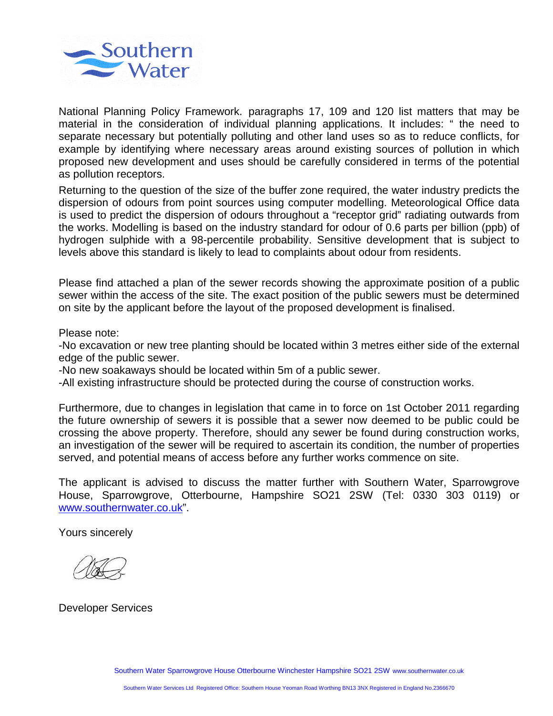

National Planning Policy Framework. paragraphs 17, 109 and 120 list matters that may be material in the consideration of individual planning applications. It includes: " the need to separate necessary but potentially polluting and other land uses so as to reduce conflicts, for example by identifying where necessary areas around existing sources of pollution in which proposed new development and uses should be carefully considered in terms of the potential as pollution receptors.

Returning to the question of the size of the buffer zone required, the water industry predicts the dispersion of odours from point sources using computer modelling. Meteorological Office data is used to predict the dispersion of odours throughout a "receptor grid" radiating outwards from the works. Modelling is based on the industry standard for odour of 0.6 parts per billion (ppb) of hydrogen sulphide with a 98-percentile probability. Sensitive development that is subject to levels above this standard is likely to lead to complaints about odour from residents.

Please find attached a plan of the sewer records showing the approximate position of a public sewer within the access of the site. The exact position of the public sewers must be determined on site by the applicant before the layout of the proposed development is finalised.

Please note:

-No excavation or new tree planting should be located within 3 metres either side of the external edge of the public sewer.

-No new soakaways should be located within 5m of a public sewer.

-All existing infrastructure should be protected during the course of construction works.

Furthermore, due to changes in legislation that came in to force on 1st October 2011 regarding the future ownership of sewers it is possible that a sewer now deemed to be public could be crossing the above property. Therefore, should any sewer be found during construction works, an investigation of the sewer will be required to ascertain its condition, the number of properties served, and potential means of access before any further works commence on site.

The applicant is advised to discuss the matter further with Southern Water, Sparrowgrove House, Sparrowgrove, Otterbourne, Hampshire SO21 2SW (Tel: 0330 303 0119) or www.southernwater.co.uk".

Yours sincerely

Developer Services

Southern Water Sparrowgrove House Otterbourne Winchester Hampshire SO21 2SW www.southernwater.co.uk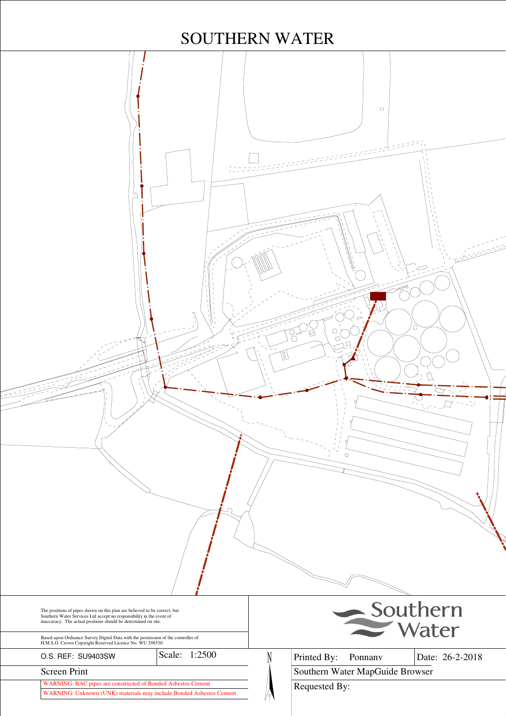| <b>SOUTHERN WATER</b>                                                                                                                                                                                            |               |    |               |                                 |                   |
|------------------------------------------------------------------------------------------------------------------------------------------------------------------------------------------------------------------|---------------|----|---------------|---------------------------------|-------------------|
|                                                                                                                                                                                                                  |               |    |               | $\hfill \square$                |                   |
|                                                                                                                                                                                                                  |               |    |               |                                 | $\sum$            |
|                                                                                                                                                                                                                  |               |    |               |                                 |                   |
|                                                                                                                                                                                                                  |               |    | $\Box$        |                                 |                   |
| The positions of pipes shown on this plan are believed to be correct, but<br>Southern Water Services Ltd accept no responsibility in the event of inaccuracy. The actual positions should be determined on site. |               |    |               |                                 | Southern<br>Water |
| Based upon Ordnance Survey Digital Data with the permission of the controller of H.M.S.O. Crown Copyright Reserved Licence No. WU 298530                                                                         |               |    |               |                                 |                   |
| O.S. REF: SU9403SW                                                                                                                                                                                               | Scale: 1:2500 |    | Printed By:   | Ponnany                         | Date: 26-2-2018   |
| Screen Print                                                                                                                                                                                                     |               |    |               | Southern Water MapGuide Browser |                   |
| <b>WARNING: BAC pipes are constructed of Bonded Asbestos Cement</b><br>WARNING: Unknown (UNK) materials may include Bonded Asbestos Cement                                                                       |               | /₹ | Requested By: |                                 |                   |